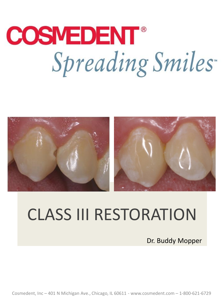## **COSMEDENT®** Spreading Smiles



## CLASS III RESTORATION

Dr. Buddy Mopper

Cosmedent, Inc – 401 N Michigan Ave., Chicago, IL 60611 - www.cosmedent.com – 1-800-621-6729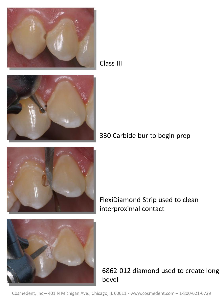

Class III



330 Carbide bur to begin prep



FlexiDiamond Strip used to clean interproximal contact



6862-012 diamond used to create long bevel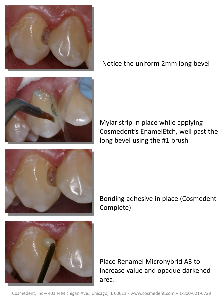

Notice the uniform 2mm long bevel



Mylar strip in place while applying Cosmedent's EnamelEtch, well past the long bevel using the #1 brush



Bonding adhesive in place (Cosmedent Complete)



Place Renamel Microhybrid A3 to increase value and opaque darkened area.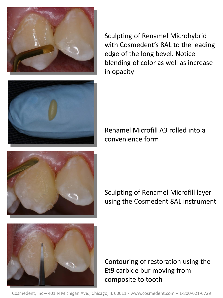

Sculpting of Renamel Microhybrid with Cosmedent's 8AL to the leading edge of the long bevel. Notice blending of color as well as increase in opacity



Renamel Microfill A3 rolled into a convenience form



Sculpting of Renamel Microfill layer using the Cosmedent 8AL instrument



Contouring of restoration using the Et9 carbide bur moving from composite to tooth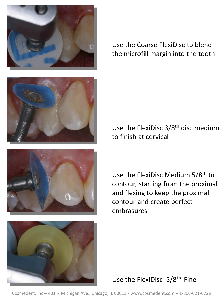

Use the Coarse FlexiDisc to blend the microfill margin into the tooth







Use the FlexiDisc 3/8<sup>th</sup> disc medium to finish at cervical

Use the FlexiDisc Medium 5/8th to contour, starting from the proximal and flexing to keep the proximal contour and create perfect embrasures

Use the FlexiDisc 5/8th Fine

Cosmedent, Inc – 401 N Michigan Ave., Chicago, IL 60611 - www.cosmedent.com – 1-800-621-6729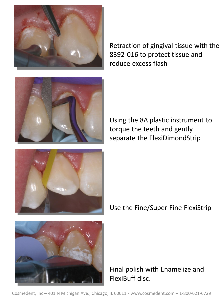

Retraction of gingival tissue with the 8392-016 to protect tissue and reduce excess flash



Using the 8A plastic instrument to torque the teeth and gently separate the FlexiDimondStrip



Use the Fine/Super Fine FlexiStrip



Final polish with Enamelize and FlexiBuff disc.